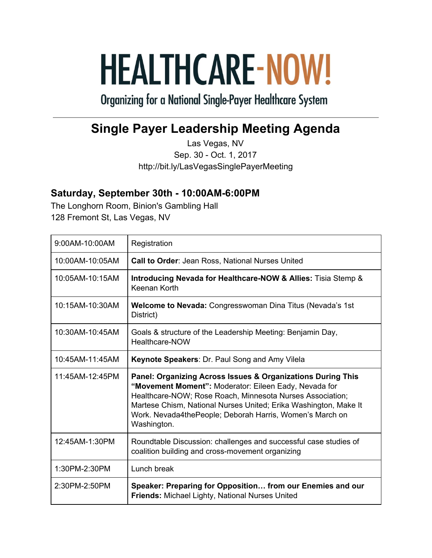## **HEALTHCARE-NOW!**

**Organizing for a National Single-Payer Healthcare System** 

## **Single Payer Leadership Meeting Agenda**

Las Vegas, NV Sep. 30 - Oct. 1, 2017 http://bit.ly/LasVegasSinglePayerMeeting

## **Saturday, September 30th - 10:00AM-6:00PM**

The Longhorn Room, Binion's Gambling Hall 128 Fremont St, Las Vegas, NV

| 9:00AM-10:00AM  | Registration                                                                                                                                                                                                                                                                                                                     |
|-----------------|----------------------------------------------------------------------------------------------------------------------------------------------------------------------------------------------------------------------------------------------------------------------------------------------------------------------------------|
| 10:00AM-10:05AM | <b>Call to Order: Jean Ross, National Nurses United</b>                                                                                                                                                                                                                                                                          |
| 10:05AM-10:15AM | Introducing Nevada for Healthcare-NOW & Allies: Tisia Stemp &<br>Keenan Korth                                                                                                                                                                                                                                                    |
| 10:15AM-10:30AM | Welcome to Nevada: Congresswoman Dina Titus (Nevada's 1st<br>District)                                                                                                                                                                                                                                                           |
| 10:30AM-10:45AM | Goals & structure of the Leadership Meeting: Benjamin Day,<br>Healthcare-NOW                                                                                                                                                                                                                                                     |
| 10:45AM-11:45AM | Keynote Speakers: Dr. Paul Song and Amy Vilela                                                                                                                                                                                                                                                                                   |
| 11:45AM-12:45PM | Panel: Organizing Across Issues & Organizations During This<br>"Movement Moment": Moderator: Eileen Eady, Nevada for<br>Healthcare-NOW; Rose Roach, Minnesota Nurses Association;<br>Martese Chism, National Nurses United; Erika Washington, Make It<br>Work. Nevada4thePeople; Deborah Harris, Women's March on<br>Washington. |
| 12:45AM-1:30PM  | Roundtable Discussion: challenges and successful case studies of<br>coalition building and cross-movement organizing                                                                                                                                                                                                             |
| 1:30PM-2:30PM   | Lunch break                                                                                                                                                                                                                                                                                                                      |
| 2:30PM-2:50PM   |                                                                                                                                                                                                                                                                                                                                  |